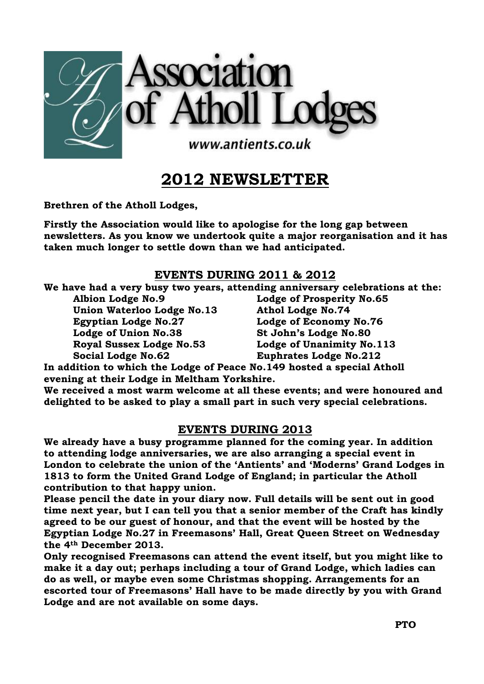

# **2012 NEWSLETTER**

**Brethren of the Atholl Lodges,**

**Firstly the Association would like to apologise for the long gap between newsletters. As you know we undertook quite a major reorganisation and it has taken much longer to settle down than we had anticipated.**

## **EVENTS DURING 2011 & 2012**

**We have had a very busy two years, attending anniversary celebrations at the:**

**Albion Lodge No.9 Lodge of Prosperity No.65 Union Waterloo Lodge No.13 Athol Lodge No.74 Egyptian Lodge No.27 Lodge of Economy No.76 Lodge of Union No.38 St John's Lodge No.80 Royal Sussex Lodge No.53 Lodge of Unanimity No.113 Social Lodge No.62 Euphrates Lodge No.212**

**In addition to which the Lodge of Peace No.149 hosted a special Atholl evening at their Lodge in Meltham Yorkshire.**

**We received a most warm welcome at all these events; and were honoured and delighted to be asked to play a small part in such very special celebrations.**

# **EVENTS DURING 2013**

**We already have a busy programme planned for the coming year. In addition to attending lodge anniversaries, we are also arranging a special event in London to celebrate the union of the 'Antients' and 'Moderns' Grand Lodges in 1813 to form the United Grand Lodge of England; in particular the Atholl contribution to that happy union.**

**Please pencil the date in your diary now. Full details will be sent out in good time next year, but I can tell you that a senior member of the Craft has kindly agreed to be our guest of honour, and that the event will be hosted by the Egyptian Lodge No.27 in Freemasons' Hall, Great Queen Street on Wednesday the 4th December 2013.**

**Only recognised Freemasons can attend the event itself, but you might like to make it a day out; perhaps including a tour of Grand Lodge, which ladies can do as well, or maybe even some Christmas shopping. Arrangements for an escorted tour of Freemasons' Hall have to be made directly by you with Grand Lodge and are not available on some days.**